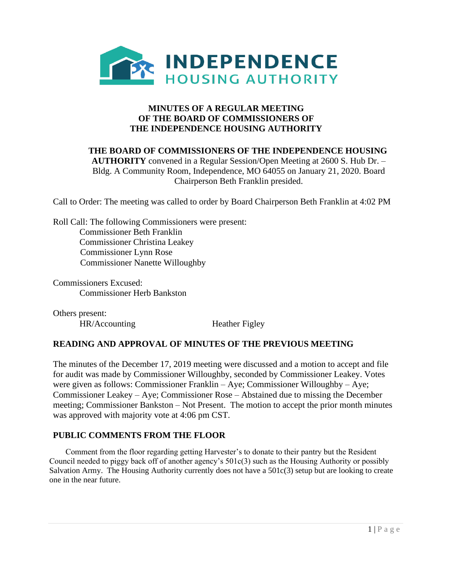

## **THE BOARD OF COMMISSIONERS OF THE INDEPENDENCE HOUSING AUTHORITY** convened in a Regular Session/Open Meeting at 2600 S. Hub Dr. – Bldg. A Community Room, Independence, MO 64055 on January 21, 2020. Board Chairperson Beth Franklin presided.

Call to Order: The meeting was called to order by Board Chairperson Beth Franklin at 4:02 PM

Roll Call: The following Commissioners were present: Commissioner Beth Franklin Commissioner Christina Leakey Commissioner Lynn Rose Commissioner Nanette Willoughby

Commissioners Excused: Commissioner Herb Bankston

Others present: HR/Accounting Heather Figley

# **READING AND APPROVAL OF MINUTES OF THE PREVIOUS MEETING**

The minutes of the December 17, 2019 meeting were discussed and a motion to accept and file for audit was made by Commissioner Willoughby, seconded by Commissioner Leakey. Votes were given as follows: Commissioner Franklin – Aye; Commissioner Willoughby – Aye; Commissioner Leakey – Aye; Commissioner Rose – Abstained due to missing the December meeting; Commissioner Bankston – Not Present. The motion to accept the prior month minutes was approved with majority vote at 4:06 pm CST.

# **PUBLIC COMMENTS FROM THE FLOOR**

 Comment from the floor regarding getting Harvester's to donate to their pantry but the Resident Council needed to piggy back off of another agency's 501c(3) such as the Housing Authority or possibly Salvation Army. The Housing Authority currently does not have a 501c(3) setup but are looking to create one in the near future.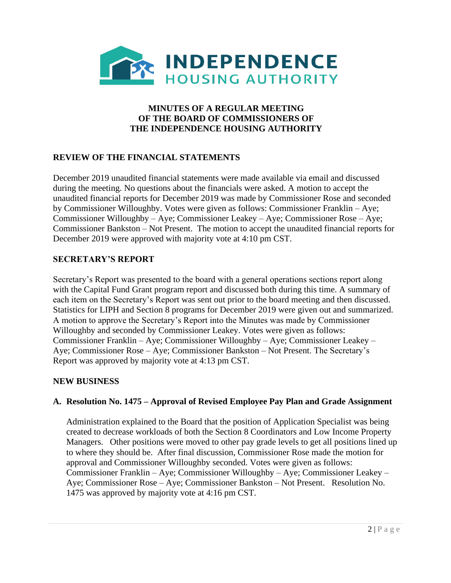

# **REVIEW OF THE FINANCIAL STATEMENTS**

December 2019 unaudited financial statements were made available via email and discussed during the meeting. No questions about the financials were asked. A motion to accept the unaudited financial reports for December 2019 was made by Commissioner Rose and seconded by Commissioner Willoughby. Votes were given as follows: Commissioner Franklin – Aye; Commissioner Willoughby – Aye; Commissioner Leakey – Aye; Commissioner Rose – Aye; Commissioner Bankston – Not Present. The motion to accept the unaudited financial reports for December 2019 were approved with majority vote at 4:10 pm CST.

## **SECRETARY'S REPORT**

Secretary's Report was presented to the board with a general operations sections report along with the Capital Fund Grant program report and discussed both during this time. A summary of each item on the Secretary's Report was sent out prior to the board meeting and then discussed. Statistics for LIPH and Section 8 programs for December 2019 were given out and summarized. A motion to approve the Secretary's Report into the Minutes was made by Commissioner Willoughby and seconded by Commissioner Leakey. Votes were given as follows: Commissioner Franklin – Aye; Commissioner Willoughby – Aye; Commissioner Leakey – Aye; Commissioner Rose – Aye; Commissioner Bankston – Not Present. The Secretary's Report was approved by majority vote at 4:13 pm CST.

## **NEW BUSINESS**

## **A. Resolution No. 1475 – Approval of Revised Employee Pay Plan and Grade Assignment**

Administration explained to the Board that the position of Application Specialist was being created to decrease workloads of both the Section 8 Coordinators and Low Income Property Managers. Other positions were moved to other pay grade levels to get all positions lined up to where they should be. After final discussion, Commissioner Rose made the motion for approval and Commissioner Willoughby seconded. Votes were given as follows: Commissioner Franklin – Aye; Commissioner Willoughby – Aye; Commissioner Leakey – Aye; Commissioner Rose – Aye; Commissioner Bankston – Not Present. Resolution No. 1475 was approved by majority vote at 4:16 pm CST.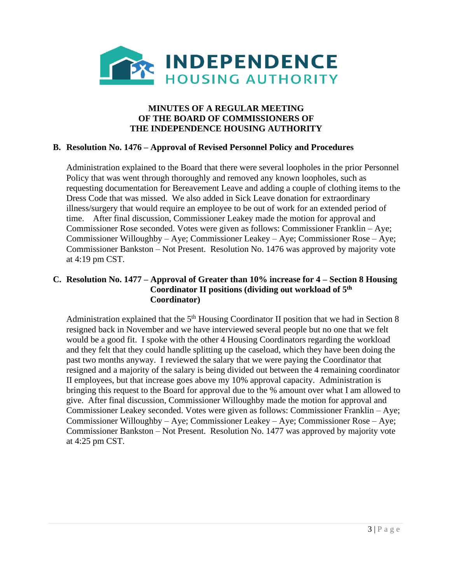

## **B. Resolution No. 1476 – Approval of Revised Personnel Policy and Procedures**

Administration explained to the Board that there were several loopholes in the prior Personnel Policy that was went through thoroughly and removed any known loopholes, such as requesting documentation for Bereavement Leave and adding a couple of clothing items to the Dress Code that was missed. We also added in Sick Leave donation for extraordinary illness/surgery that would require an employee to be out of work for an extended period of time. After final discussion, Commissioner Leakey made the motion for approval and Commissioner Rose seconded. Votes were given as follows: Commissioner Franklin – Aye; Commissioner Willoughby – Aye; Commissioner Leakey – Aye; Commissioner Rose – Aye; Commissioner Bankston – Not Present. Resolution No. 1476 was approved by majority vote at 4:19 pm CST.

### **C. Resolution No. 1477 – Approval of Greater than 10% increase for 4 – Section 8 Housing Coordinator II positions (dividing out workload of 5th Coordinator)**

Administration explained that the 5<sup>th</sup> Housing Coordinator II position that we had in Section 8 resigned back in November and we have interviewed several people but no one that we felt would be a good fit. I spoke with the other 4 Housing Coordinators regarding the workload and they felt that they could handle splitting up the caseload, which they have been doing the past two months anyway. I reviewed the salary that we were paying the Coordinator that resigned and a majority of the salary is being divided out between the 4 remaining coordinator II employees, but that increase goes above my 10% approval capacity. Administration is bringing this request to the Board for approval due to the % amount over what I am allowed to give. After final discussion, Commissioner Willoughby made the motion for approval and Commissioner Leakey seconded. Votes were given as follows: Commissioner Franklin – Aye; Commissioner Willoughby – Aye; Commissioner Leakey – Aye; Commissioner Rose – Aye; Commissioner Bankston – Not Present. Resolution No. 1477 was approved by majority vote at 4:25 pm CST.